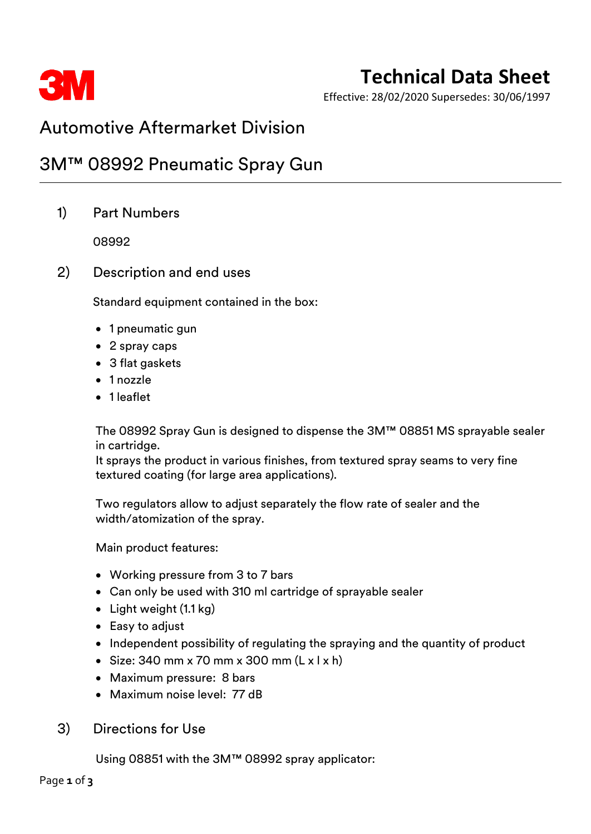

# **Technical Data Sheet**

Effective: 28/02/2020 Supersedes: 30/06/1997

### Automotive Aftermarket Division

### 3M™ 08992 Pneumatic Spray Gun

1) Part Numbers

08992

2) Description and end uses

Standard equipment contained in the box:

- 1 pneumatic gun
- 2 spray caps
- 3 flat gaskets
- 1 nozzle
- 1 leaflet

The 08992 Spray Gun is designed to dispense the 3M™ 08851 MS sprayable sealer in cartridge.

It sprays the product in various finishes, from textured spray seams to very fine textured coating (for large area applications).

Two regulators allow to adjust separately the flow rate of sealer and the width/atomization of the spray.

Main product features:

- Working pressure from 3 to 7 bars
- Can only be used with 310 ml cartridge of sprayable sealer
- Light weight (1.1 kg)
- Easy to adjust
- Independent possibility of regulating the spraying and the quantity of product
- Size: 340 mm x 70 mm x 300 mm  $(L \times L \times h)$
- Maximum pressure: 8 bars
- Maximum noise level: 77 dB
- 3) Directions for Use

Using 08851 with the 3M™ 08992 spray applicator: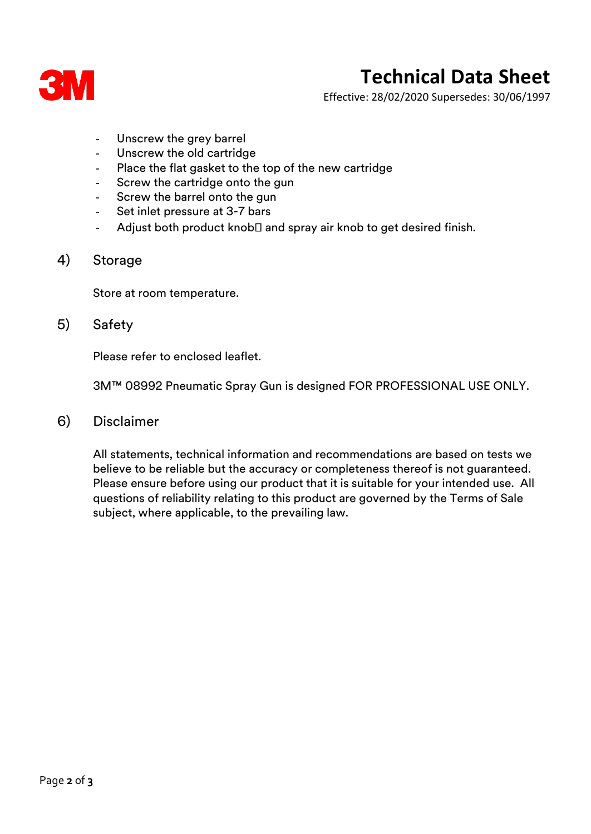

## **Technical Data Sheet**

Effective: 28/02/2020 Supersedes: 30/06/1997

- Unscrew the grey barrel
- Unscrew the old cartridge
- Place the flat gasket to the top of the new cartridge
- Screw the cartridge onto the gun
- Screw the barrel onto the gun
- Set inlet pressure at 3-7 bars
- Adjust both product knob $\square$  and spray air knob to get desired finish.

#### 4) Storage

Store at room temperature.

### 5) Safety

Please refer to enclosed leaflet.

3M™ 08992 Pneumatic Spray Gun is designed FOR PROFESSIONAL USE ONLY.

6) Disclaimer

All statements, technical information and recommendations are based on tests we believe to be reliable but the accuracy or completeness thereof is not guaranteed. Please ensure before using our product that it is suitable for your intended use. All questions of reliability relating to this product are governed by the Terms of Sale subject, where applicable, to the prevailing law.